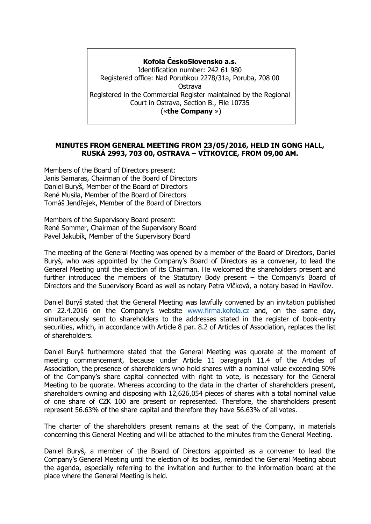## **Kofola ČeskoSlovensko a.s.**

Identification number: 242 61 980 Registered office: Nad Porubkou 2278/31a, Poruba, 708 00 Ostrava Registered in the Commercial Register maintained by the Regional Court in Ostrava, Section B., File 10735 («**the Company** »)

## **MINUTES FROM GENERAL MEETING FROM 23/05/2016, HELD IN GONG HALL, RUSKÁ 2993, 703 00, OSTRAVA – VÍTKOVICE, FROM 09,00 AM.**

Members of the Board of Directors present: Janis Samaras, Chairman of the Board of Directors Daniel Buryš, Member of the Board of Directors René Musila, Member of the Board of Directors Tomáš Jendřejek, Member of the Board of Directors

Members of the Supervisory Board present: René Sommer, Chairman of the Supervisory Board Pavel Jakubík, Member of the Supervisory Board

The meeting of the General Meeting was opened by a member of the Board of Directors, Daniel Buryš, who was appointed by the Company's Board of Directors as a convener, to lead the General Meeting until the election of its Chairman. He welcomed the shareholders present and further introduced the members of the Statutory Body present – the Company's Board of Directors and the Supervisory Board as well as notary Petra Vlčková, a notary based in Havířov.

Daniel Buryš stated that the General Meeting was lawfully convened by an invitation published on 22.4.2016 on the Company's website [www.firma.kofola.cz](http://www.firma.kofola.cz/) and, on the same day, simultaneously sent to shareholders to the addresses stated in the register of book-entry securities, which, in accordance with Article 8 par. 8.2 of Articles of Association, replaces the list of shareholders.

Daniel Buryš furthermore stated that the General Meeting was quorate at the moment of meeting commencement, because under Article 11 paragraph 11.4 of the Articles of Association, the presence of shareholders who hold shares with a nominal value exceeding 50% of the Company's share capital connected with right to vote, is necessary for the General Meeting to be quorate. Whereas according to the data in the charter of shareholders present, shareholders owning and disposing with 12,626,054 pieces of shares with a total nominal value of one share of CZK 100 are present or represented. Therefore, the shareholders present represent 56.63% of the share capital and therefore they have 56.63% of all votes.

The charter of the shareholders present remains at the seat of the Company, in materials concerning this General Meeting and will be attached to the minutes from the General Meeting.

Daniel Buryš, a member of the Board of Directors appointed as a convener to lead the Company's General Meeting until the election of its bodies, reminded the General Meeting about the agenda, especially referring to the invitation and further to the information board at the place where the General Meeting is held.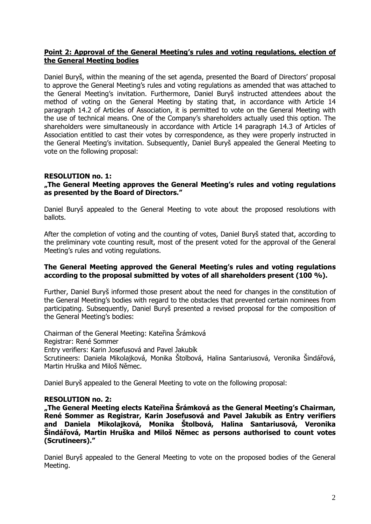# **Point 2: Approval of the General Meeting's rules and voting regulations, election of the General Meeting bodies**

Daniel Buryš, within the meaning of the set agenda, presented the Board of Directors' proposal to approve the General Meeting's rules and voting regulations as amended that was attached to the General Meeting's invitation. Furthermore, Daniel Buryš instructed attendees about the method of voting on the General Meeting by stating that, in accordance with Article 14 paragraph 14.2 of Articles of Association, it is permitted to vote on the General Meeting with the use of technical means. One of the Company's shareholders actually used this option. The shareholders were simultaneously in accordance with Article 14 paragraph 14.3 of Articles of Association entitled to cast their votes by correspondence, as they were properly instructed in the General Meeting's invitation. Subsequently, Daniel Buryš appealed the General Meeting to vote on the following proposal:

#### **RESOLUTION no. 1: "The General Meeting approves the General Meeting's rules and voting regulations as presented by the Board of Directors."**

Daniel Buryš appealed to the General Meeting to vote about the proposed resolutions with ballots.

After the completion of voting and the counting of votes, Daniel Buryš stated that, according to the preliminary vote counting result, most of the present voted for the approval of the General Meeting's rules and voting regulations.

# **The General Meeting approved the General Meeting's rules and voting regulations according to the proposal submitted by votes of all shareholders present (100 %).**

Further, Daniel Buryš informed those present about the need for changes in the constitution of the General Meeting's bodies with regard to the obstacles that prevented certain nominees from participating. Subsequently, Daniel Buryš presented a revised proposal for the composition of the General Meeting's bodies:

Chairman of the General Meeting: Kateřina Šrámková Registrar: René Sommer Entry verifiers: Karin Josefusová and Pavel Jakubík Scrutineers: Daniela Mikolajková, Monika Štolbová, Halina Santariusová, Veronika Šindářová, Martin Hruška and Miloš Němec.

Daniel Buryš appealed to the General Meeting to vote on the following proposal:

# **RESOLUTION no. 2:**

**"The General Meeting elects Kateřina Šrámková as the General Meeting's Chairman, René Sommer as Registrar, Karin Josefusová and Pavel Jakubík as Entry verifiers and Daniela Mikolajková, Monika Štolbová, Halina Santariusová, Veronika Šindářová, Martin Hruška and Miloš Němec as persons authorised to count votes (Scrutineers)."**

Daniel Buryš appealed to the General Meeting to vote on the proposed bodies of the General Meeting.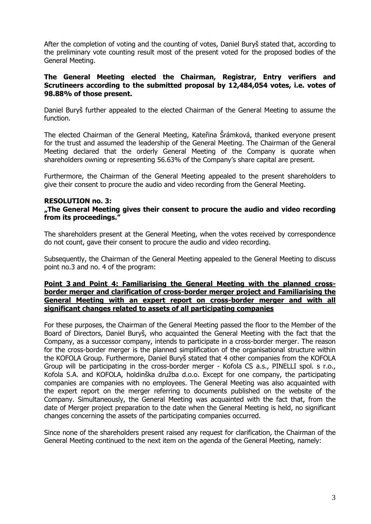After the completion of voting and the counting of votes, Daniel Buryš stated that, according to the preliminary vote counting result most of the present voted for the proposed bodies of the General Meeting.

# **The General Meeting elected the Chairman, Registrar, Entry verifiers and Scrutineers according to the submitted proposal by 12,484,054 votes, i.e. votes of 98.88% of those present.**

Daniel Buryš further appealed to the elected Chairman of the General Meeting to assume the function.

The elected Chairman of the General Meeting, Kateřina Šrámková, thanked everyone present for the trust and assumed the leadership of the General Meeting. The Chairman of the General Meeting declared that the orderly General Meeting of the Company is quorate when shareholders owning or representing 56.63% of the Company's share capital are present.

Furthermore, the Chairman of the General Meeting appealed to the present shareholders to give their consent to procure the audio and video recording from the General Meeting.

## **RESOLUTION no. 3:**

## **"The General Meeting gives their consent to procure the audio and video recording from its proceedings."**

The shareholders present at the General Meeting, when the votes received by correspondence do not count, gave their consent to procure the audio and video recording.

Subsequently, the Chairman of the General Meeting appealed to the General Meeting to discuss point no.3 and no. 4 of the program:

## **Point 3 and Point 4: Familiarising the General Meeting with the planned crossborder merger and clarification of cross-border merger project and Familiarising the General Meeting with an expert report on cross-border merger and with all significant changes related to assets of all participating companies**

For these purposes, the Chairman of the General Meeting passed the floor to the Member of the Board of Directors, Daniel Buryš, who acquainted the General Meeting with the fact that the Company, as a successor company, intends to participate in a cross-border merger. The reason for the cross-border merger is the planned simplification of the organisational structure within the KOFOLA Group. Furthermore, Daniel Buryš stated that 4 other companies from the KOFOLA Group will be participating in the cross-border merger - Kofola CS a.s., PINELLI spol. s r.o., Kofola S.A. and KOFOLA, holdinška družba d.o.o. Except for one company, the participating companies are companies with no employees. The General Meeting was also acquainted with the expert report on the merger referring to documents published on the website of the Company. Simultaneously, the General Meeting was acquainted with the fact that, from the date of Merger project preparation to the date when the General Meeting is held, no significant changes concerning the assets of the participating companies occurred.

Since none of the shareholders present raised any request for clarification, the Chairman of the General Meeting continued to the next item on the agenda of the General Meeting, namely: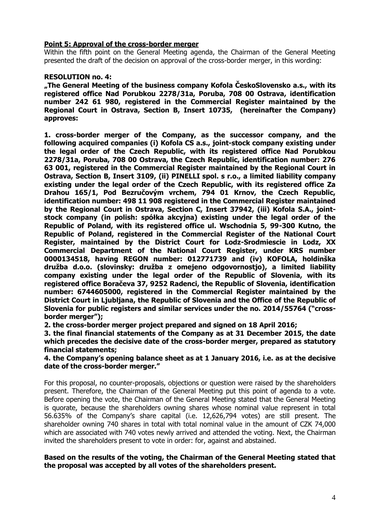# **Point 5: Approval of the cross-border merger**

Within the fifth point on the General Meeting agenda, the Chairman of the General Meeting presented the draft of the decision on approval of the cross-border merger, in this wording:

# **RESOLUTION no. 4:**

**"The General Meeting of the business company Kofola ČeskoSlovensko a.s., with its registered office Nad Porubkou 2278/31a, Poruba, 708 00 Ostrava, identification number 242 61 980, registered in the Commercial Register maintained by the Regional Court in Ostrava, Section B, Insert 10735, (hereinafter the Company) approves:**

**1. cross-border merger of the Company, as the successor company, and the following acquired companies (i) Kofola CS a.s., joint-stock company existing under the legal order of the Czech Republic, with its registered office Nad Porubkou 2278/31a, Poruba, 708 00 Ostrava, the Czech Republic, identification number: 276 63 001, registered in the Commercial Register maintained by the Regional Court in Ostrava, Section B, Insert 3109, (ii) PINELLI spol. s r.o., a limited liability company existing under the legal order of the Czech Republic, with its registered office Za Drahou 165/1, Pod Bezručovým vrchem, 794 01 Krnov, the Czech Republic, identification number: 498 11 908 registered in the Commercial Register maintained by the Regional Court in Ostrava, Section C, Insert 37942, (iii) Kofola S.A., jointstock company (in polish: spółka akcyjna) existing under the legal order of the Republic of Poland, with its registered office ul. Wschodnia 5, 99-300 Kutno, the Republic of Poland, registered in the Commercial Register of the National Court Register, maintained by the District Court for Lodz-Srodmiescie in Lodz, XX Commercial Department of the National Court Register, under KRS number 0000134518, having REGON number: 012771739 and (iv) KOFOLA, holdinška družba d.o.o. (slovinsky: družba z omejeno odgovornostjo), a limited liability company existing under the legal order of the Republic of Slovenia, with its registered office Boračeva 37, 9252 Radenci, the Republic of Slovenia, identification number: 6744605000, registered in the Commercial Register maintained by the District Court in Ljubljana, the Republic of Slovenia and the Office of the Republic of Slovenia for public registers and similar services under the no. 2014/55764 ("crossborder merger");** 

**2. the cross-border merger project prepared and signed on 18 April 2016;**

**3. the final financial statements of the Company as at 31 December 2015, the date which precedes the decisive date of the cross-border merger, prepared as statutory financial statements;** 

**4. the Company's opening balance sheet as at 1 January 2016, i.e. as at the decisive date of the cross-border merger."**

For this proposal, no counter-proposals, objections or question were raised by the shareholders present. Therefore, the Chairman of the General Meeting put this point of agenda to a vote. Before opening the vote, the Chairman of the General Meeting stated that the General Meeting is quorate, because the shareholders owning shares whose nominal value represent in total 56.635% of the Company's share capital (i.e. 12,626,794 votes) are still present. The shareholder owning 740 shares in total with total nominal value in the amount of CZK 74,000 which are associated with 740 votes newly arrived and attended the voting. Next, the Chairman invited the shareholders present to vote in order: for, against and abstained.

# **Based on the results of the voting, the Chairman of the General Meeting stated that the proposal was accepted by all votes of the shareholders present.**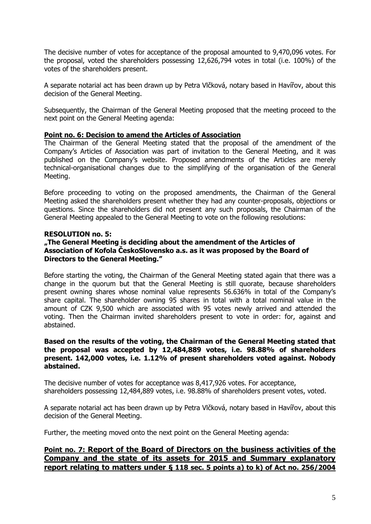The decisive number of votes for acceptance of the proposal amounted to 9,470,096 votes. For the proposal, voted the shareholders possessing 12,626,794 votes in total (i.e. 100%) of the votes of the shareholders present.

A separate notarial act has been drawn up by Petra Vlčková, notary based in Havířov, about this decision of the General Meeting.

Subsequently, the Chairman of the General Meeting proposed that the meeting proceed to the next point on the General Meeting agenda:

# **Point no. 6: Decision to amend the Articles of Association**

The Chairman of the General Meeting stated that the proposal of the amendment of the Company's Articles of Association was part of invitation to the General Meeting, and it was published on the Company's website. Proposed amendments of the Articles are merely technical-organisational changes due to the simplifying of the organisation of the General Meeting.

Before proceeding to voting on the proposed amendments, the Chairman of the General Meeting asked the shareholders present whether they had any counter-proposals, objections or questions. Since the shareholders did not present any such proposals, the Chairman of the General Meeting appealed to the General Meeting to vote on the following resolutions:

# **RESOLUTION no. 5:**

## **"The General Meeting is deciding about the amendment of the Articles of Association of Kofola ČeskoSlovensko a.s. as it was proposed by the Board of Directors to the General Meeting."**

Before starting the voting, the Chairman of the General Meeting stated again that there was a change in the quorum but that the General Meeting is still quorate, because shareholders present owning shares whose nominal value represents 56.636% in total of the Company's share capital. The shareholder owning 95 shares in total with a total nominal value in the amount of CZK 9,500 which are associated with 95 votes newly arrived and attended the voting. Then the Chairman invited shareholders present to vote in order: for, against and abstained.

## **Based on the results of the voting, the Chairman of the General Meeting stated that the proposal was accepted by 12,484,889 votes, i.e. 98.88% of shareholders present. 142,000 votes, i.e. 1.12% of present shareholders voted against. Nobody abstained.**

The decisive number of votes for acceptance was 8,417,926 votes. For acceptance, shareholders possessing 12,484,889 votes, i.e. 98.88% of shareholders present votes, voted.

A separate notarial act has been drawn up by Petra Vlčková, notary based in Havířov, about this decision of the General Meeting.

Further, the meeting moved onto the next point on the General Meeting agenda:

# **Point no. 7: Report of the Board of Directors on the business activities of the Company and the state of its assets for 2015 and Summary explanatory report relating to matters under § 118 sec. 5 points a) to k) of Act no. 256/2004**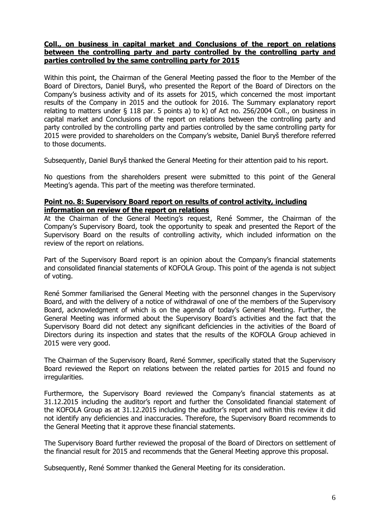## **Coll., on business in capital market and Conclusions of the report on relations between the controlling party and party controlled by the controlling party and parties controlled by the same controlling party for 2015**

Within this point, the Chairman of the General Meeting passed the floor to the Member of the Board of Directors, Daniel Buryš, who presented the Report of the Board of Directors on the Company's business activity and of its assets for 2015, which concerned the most important results of the Company in 2015 and the outlook for 2016. The Summary explanatory report relating to matters under § 118 par. 5 points a) to k) of Act no. 256/2004 Coll., on business in capital market and Conclusions of the report on relations between the controlling party and party controlled by the controlling party and parties controlled by the same controlling party for 2015 were provided to shareholders on the Company's website, Daniel Buryš therefore referred to those documents.

Subsequently, Daniel Buryš thanked the General Meeting for their attention paid to his report.

No questions from the shareholders present were submitted to this point of the General Meeting's agenda. This part of the meeting was therefore terminated.

## **Point no. 8: Supervisory Board report on results of control activity, including information on review of the report on relations**

At the Chairman of the General Meeting's request, René Sommer, the Chairman of the Company's Supervisory Board, took the opportunity to speak and presented the Report of the Supervisory Board on the results of controlling activity, which included information on the review of the report on relations.

Part of the Supervisory Board report is an opinion about the Company's financial statements and consolidated financial statements of KOFOLA Group. This point of the agenda is not subject of voting.

René Sommer familiarised the General Meeting with the personnel changes in the Supervisory Board, and with the delivery of a notice of withdrawal of one of the members of the Supervisory Board, acknowledgment of which is on the agenda of today's General Meeting. Further, the General Meeting was informed about the Supervisory Board's activities and the fact that the Supervisory Board did not detect any significant deficiencies in the activities of the Board of Directors during its inspection and states that the results of the KOFOLA Group achieved in 2015 were very good.

The Chairman of the Supervisory Board, René Sommer, specifically stated that the Supervisory Board reviewed the Report on relations between the related parties for 2015 and found no irregularities.

Furthermore, the Supervisory Board reviewed the Company's financial statements as at 31.12.2015 including the auditor's report and further the Consolidated financial statement of the KOFOLA Group as at 31.12.2015 including the auditor's report and within this review it did not identify any deficiencies and inaccuracies. Therefore, the Supervisory Board recommends to the General Meeting that it approve these financial statements.

The Supervisory Board further reviewed the proposal of the Board of Directors on settlement of the financial result for 2015 and recommends that the General Meeting approve this proposal.

Subsequently, René Sommer thanked the General Meeting for its consideration.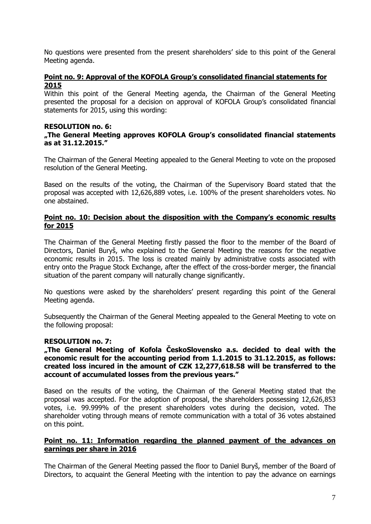No questions were presented from the present shareholders' side to this point of the General Meeting agenda.

# **Point no. 9: Approval of the KOFOLA Group's consolidated financial statements for 2015**

Within this point of the General Meeting agenda, the Chairman of the General Meeting presented the proposal for a decision on approval of KOFOLA Group's consolidated financial statements for 2015, using this wording:

## **RESOLUTION no. 6:**

## **"The General Meeting approves KOFOLA Group's consolidated financial statements as at 31.12.2015."**

The Chairman of the General Meeting appealed to the General Meeting to vote on the proposed resolution of the General Meeting.

Based on the results of the voting, the Chairman of the Supervisory Board stated that the proposal was accepted with 12,626,889 votes, i.e. 100% of the present shareholders votes. No one abstained.

## **Point no. 10: Decision about the disposition with the Company's economic results for 2015**

The Chairman of the General Meeting firstly passed the floor to the member of the Board of Directors, Daniel Buryš, who explained to the General Meeting the reasons for the negative economic results in 2015. The loss is created mainly by administrative costs associated with entry onto the Prague Stock Exchange, after the effect of the cross-border merger, the financial situation of the parent company will naturally change significantly.

No questions were asked by the shareholders' present regarding this point of the General Meeting agenda.

Subsequently the Chairman of the General Meeting appealed to the General Meeting to vote on the following proposal:

## **RESOLUTION no. 7:**

**"The General Meeting of Kofola ČeskoSlovensko a.s. decided to deal with the economic result for the accounting period from 1.1.2015 to 31.12.2015, as follows: created loss incured in the amount of CZK 12,277,618.58 will be transferred to the account of accumulated losses from the previous years."**

Based on the results of the voting, the Chairman of the General Meeting stated that the proposal was accepted. For the adoption of proposal, the shareholders possessing 12,626,853 votes, i.e. 99.999% of the present shareholders votes during the decision, voted. The shareholder voting through means of remote communication with a total of 36 votes abstained on this point.

# **Point no. 11: Information regarding the planned payment of the advances on earnings per share in 2016**

The Chairman of the General Meeting passed the floor to Daniel Buryš, member of the Board of Directors, to acquaint the General Meeting with the intention to pay the advance on earnings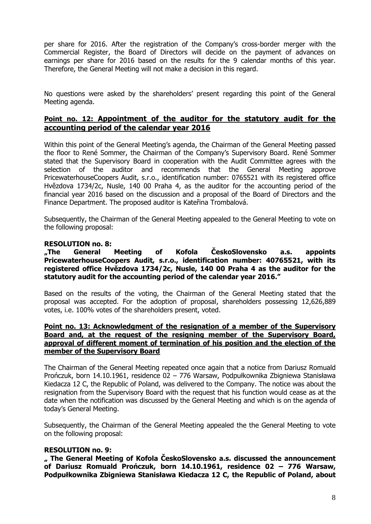per share for 2016. After the registration of the Company's cross-border merger with the Commercial Register, the Board of Directors will decide on the payment of advances on earnings per share for 2016 based on the results for the 9 calendar months of this year. Therefore, the General Meeting will not make a decision in this regard.

No questions were asked by the shareholders' present regarding this point of the General Meeting agenda.

# **Point no. 12: Appointment of the auditor for the statutory audit for the accounting period of the calendar year 2016**

Within this point of the General Meeting's agenda, the Chairman of the General Meeting passed the floor to René Sommer, the Chairman of the Company's Supervisory Board. René Sommer stated that the Supervisory Board in cooperation with the Audit Committee agrees with the selection of the auditor and recommends that the General Meeting approve PricewaterhouseCoopers Audit, s.r.o., identification number: 0765521 with its registered office Hvězdova 1734/2c, Nusle, 140 00 Praha 4, as the auditor for the accounting period of the financial year 2016 based on the discussion and a proposal of the Board of Directors and the Finance Department. The proposed auditor is Kateřina Trombalová.

Subsequently, the Chairman of the General Meeting appealed to the General Meeting to vote on the following proposal:

## **RESOLUTION no. 8:**

**"The General Meeting of Kofola ČeskoSlovensko a.s. appoints PricewaterhouseCoopers Audit, s.r.o., identification number: 40765521, with its registered office Hvězdova 1734/2c, Nusle, 140 00 Praha 4 as the auditor for the statutory audit for the accounting period of the calendar year 2016."**

Based on the results of the voting, the Chairman of the General Meeting stated that the proposal was accepted. For the adoption of proposal, shareholders possessing 12,626,889 votes, i.e. 100% votes of the shareholders present, voted.

# **Point no. 13: Acknowledgment of the resignation of a member of the Supervisory Board and, at the request of the resigning member of the Supervisory Board, approval of different moment of termination of his position and the election of the member of the Supervisory Board**

The Chairman of the General Meeting repeated once again that a notice from Dariusz Romuald Prończuk, born 14.10.1961, residence 02 – 776 Warsaw, Podpułkownika Zbigniewa Stanisława Kiedacza 12 C, the Republic of Poland, was delivered to the Company. The notice was about the resignation from the Supervisory Board with the request that his function would cease as at the date when the notification was discussed by the General Meeting and which is on the agenda of today's General Meeting.

Subsequently, the Chairman of the General Meeting appealed the the General Meeting to vote on the following proposal:

## **RESOLUTION no. 9:**

**" The General Meeting of Kofola ČeskoSlovensko a.s. discussed the announcement of Dariusz Romuald Prończuk, born 14.10.1961, residence 02 – 776 Warsaw, Podpułkownika Zbigniewa Stanisława Kiedacza 12 C, the Republic of Poland, about**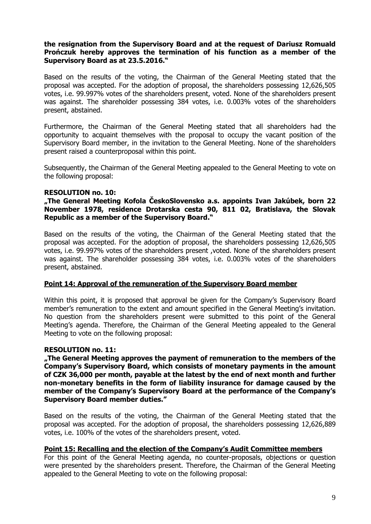# **the resignation from the Supervisory Board and at the request of Dariusz Romuald Prończuk hereby approves the termination of his function as a member of the Supervisory Board as at 23.5.2016."**

Based on the results of the voting, the Chairman of the General Meeting stated that the proposal was accepted. For the adoption of proposal, the shareholders possessing 12,626,505 votes, i.e. 99.997% votes of the shareholders present, voted. None of the shareholders present was against. The shareholder possessing 384 votes, i.e. 0.003% votes of the shareholders present, abstained.

Furthermore, the Chairman of the General Meeting stated that all shareholders had the opportunity to acquaint themselves with the proposal to occupy the vacant position of the Supervisory Board member, in the invitation to the General Meeting. None of the shareholders present raised a counterproposal within this point.

Subsequently, the Chairman of the General Meeting appealed to the General Meeting to vote on the following proposal:

# **RESOLUTION no. 10:**

## **"The General Meeting Kofola ČeskoSlovensko a.s. appoints Ivan Jakúbek, born 22 November 1978, residence Drotarska cesta 90, 811 02, Bratislava, the Slovak Republic as a member of the Supervisory Board."**

Based on the results of the voting, the Chairman of the General Meeting stated that the proposal was accepted. For the adoption of proposal, the shareholders possessing 12,626,505 votes, i.e. 99.997% votes of the shareholders present ,voted. None of the shareholders present was against. The shareholder possessing 384 votes, i.e. 0.003% votes of the shareholders present, abstained.

## **Point 14: Approval of the remuneration of the Supervisory Board member**

Within this point, it is proposed that approval be given for the Company's Supervisory Board member's remuneration to the extent and amount specified in the General Meeting's invitation. No question from the shareholders present were submitted to this point of the General Meeting's agenda. Therefore, the Chairman of the General Meeting appealed to the General Meeting to vote on the following proposal:

## **RESOLUTION no. 11:**

**"The General Meeting approves the payment of remuneration to the members of the Company's Supervisory Board, which consists of monetary payments in the amount of CZK 36,000 per month, payable at the latest by the end of next month and further non-monetary benefits in the form of liability insurance for damage caused by the member of the Company's Supervisory Board at the performance of the Company's Supervisory Board member duties."**

Based on the results of the voting, the Chairman of the General Meeting stated that the proposal was accepted. For the adoption of proposal, the shareholders possessing 12,626,889 votes, i.e. 100% of the votes of the shareholders present, voted.

## **Point 15: Recalling and the election of the Company's Audit Committee members**

For this point of the General Meeting agenda, no counter-proposals, objections or question were presented by the shareholders present. Therefore, the Chairman of the General Meeting appealed to the General Meeting to vote on the following proposal: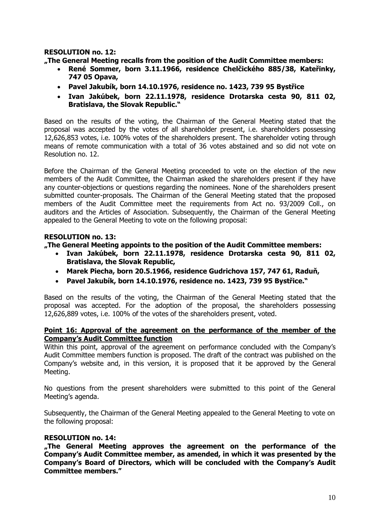# **RESOLUTION no. 12:**

**"The General Meeting recalls from the position of the Audit Committee members:** 

- **René Sommer, born 3.11.1966, residence Chelčického 885/38, Kateřinky, 747 05 Opava,**
- **Pavel Jakubík, born 14.10.1976, residence no. 1423, 739 95 Bystřice**
- **Ivan Jakúbek, born 22.11.1978, residence Drotarska cesta 90, 811 02, Bratislava, the Slovak Republic."**

Based on the results of the voting, the Chairman of the General Meeting stated that the proposal was accepted by the votes of all shareholder present, i.e. shareholders possessing 12,626,853 votes, i.e. 100% votes of the shareholders present. The shareholder voting through means of remote communication with a total of 36 votes abstained and so did not vote on Resolution no. 12.

Before the Chairman of the General Meeting proceeded to vote on the election of the new members of the Audit Committee, the Chairman asked the shareholders present if they have any counter-objections or questions regarding the nominees. None of the shareholders present submitted counter-proposals. The Chairman of the General Meeting stated that the proposed members of the Audit Committee meet the requirements from Act no. 93/2009 Coll., on auditors and the Articles of Association. Subsequently, the Chairman of the General Meeting appealed to the General Meeting to vote on the following proposal:

# **RESOLUTION no. 13:**

## **"The General Meeting appoints to the position of the Audit Committee members:**

- **Ivan Jakúbek, born 22.11.1978, residence Drotarska cesta 90, 811 02, Bratislava, the Slovak Republic,**
- **Marek Piecha, born 20.5.1966, residence Gudrichova 157, 747 61, Raduň,**
- **Pavel Jakubík, born 14.10.1976, residence no. 1423, 739 95 Bystřice."**

Based on the results of the voting, the Chairman of the General Meeting stated that the proposal was accepted. For the adoption of the proposal, the shareholders possessing 12,626,889 votes, i.e. 100% of the votes of the shareholders present, voted.

## **Point 16: Approval of the agreement on the performance of the member of the Company's Audit Committee function**

Within this point, approval of the agreement on performance concluded with the Company's Audit Committee members function is proposed. The draft of the contract was published on the Company's website and, in this version, it is proposed that it be approved by the General Meeting.

No questions from the present shareholders were submitted to this point of the General Meeting's agenda.

Subsequently, the Chairman of the General Meeting appealed to the General Meeting to vote on the following proposal:

## **RESOLUTION no. 14:**

**"The General Meeting approves the agreement on the performance of the Company's Audit Committee member, as amended, in which it was presented by the Company's Board of Directors, which will be concluded with the Company's Audit Committee members."**